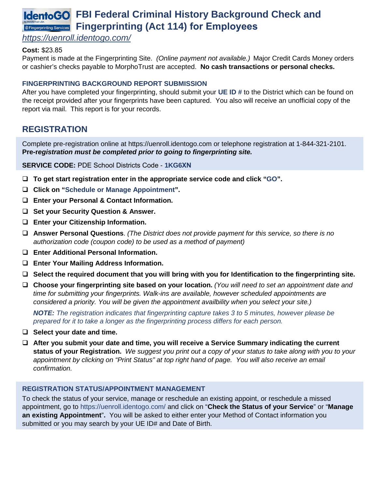# **IdentoGO** FBI Federal Criminal History Background Check and **Fingerprinting Services** Fingerprinting (Act 114) for Employees

### *<https://uenroll.identogo.com/>*

### **Cost:** \$23.85

Payment is made at the Fingerprinting Site. *(Online payment not available.)* Major Credit Cards Money orders or cashier's checks payable to MorphoTrust are accepted. **No cash transactions or personal checks.**

### **FINGERPRINTING BACKGROUND REPORT SUBMISSION**

After you have completed your fingerprinting, should submit your **UE ID #** to the District which can be found on the receipt provided after your fingerprints have been captured. You also will receive an unofficial copy of the report via mail. This report is for your records.

## **REGISTRATION**

Complete pre-registration online at https://uenroll.identogo.com or telephone registration at 1-844-321-2101. **Pre-r***egistration must be completed prior to going to fingerprinting site.* 

**SERVICE CODE:** PDE School Districts Code - **1KG6XN**

- **To get start registration enter in the appropriate service code and click "GO".**
- **Click on "Schedule or Manage Appointment".**
- **Enter your Personal & Contact Information.**
- **Set your Security Question & Answer.**
- **Enter your Citizenship Information.**
- **Answer Personal Questions**. *(The District does not provide payment for this service, so there is no authorization code (coupon code) to be used as a method of payment)*
- **Enter Additional Personal Information.**
- **Enter Your Mailing Address Information.**
- **Select the required document that you will bring with you for Identification to the fingerprinting site.**
- **Choose your fingerprinting site based on your location.** *(You will need to set an appointment date and time for submitting your fingerprints. Walk-ins are available, however scheduled appointments are considered a priority. You will be given the appointment availbility when you select your site.)*

*NOTE: The registration indicates that fingerprinting capture takes 3 to 5 minutes, however please be prepared for it to take a longer as the fingerprinting process differs for each person.*

- **Select your date and time.**
- **After you submit your date and time, you will receive a Service Summary indicating the current status of your Registration.** *We suggest you print out a copy of your status to take along with you to your appointment by clicking on "Print Status" at top right hand of page. You will also receive an email confirmation.*

### **REGISTRATION STATUS/APPOINTMENT MANAGEMENT**

To check the status of your service, manage or reschedule an existing appoint, or reschedule a missed appointment, go to<https://uenroll.identogo.com/> and click on "**Check the Status of your Service**" or "**Manage an existing Appointment**"**.** You will be asked to either enter your Method of Contact information you submitted or you may search by your UE ID# and Date of Birth.